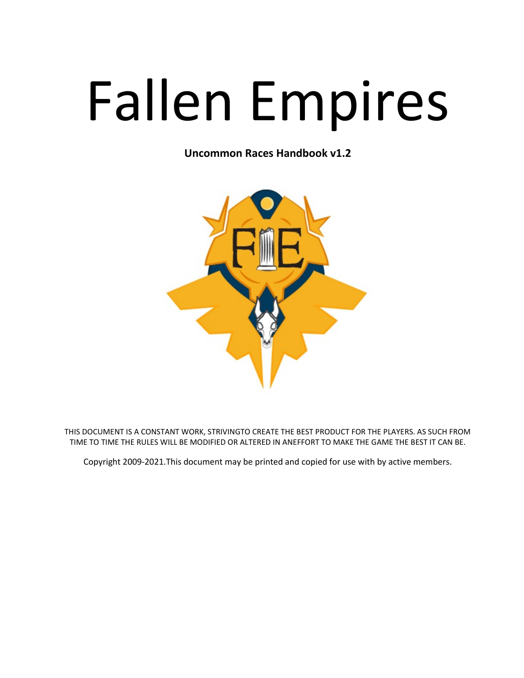# Fallen Empires

Uncommon Races Handbook v1.2



THIS DOCUMENT IS A CONSTANT WORK, STRIVINGTO CREATE THE BEST PRODUCT FOR THE PLAYERS. AS SUCH FROM TIME TO TIME THE RULES WILL BE MODIFIED OR ALTERED IN ANEFFORT TO MAKE THE GAME THE BEST IT CAN BE.

Copyright 2009-2021.This document may be printed and copied for use with by active members.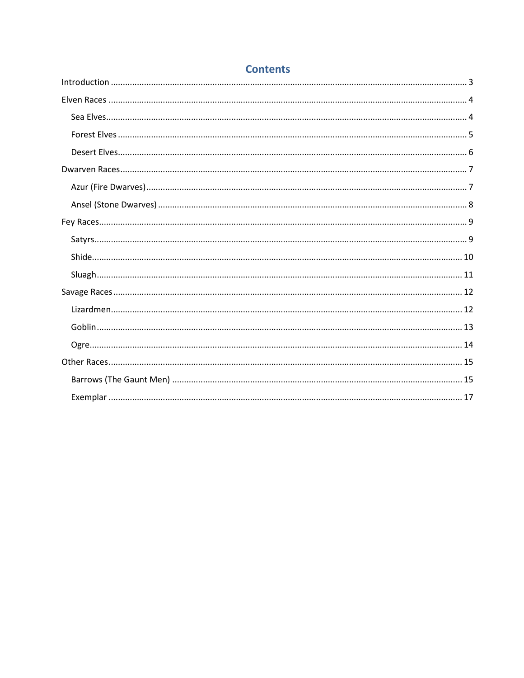## **Contents**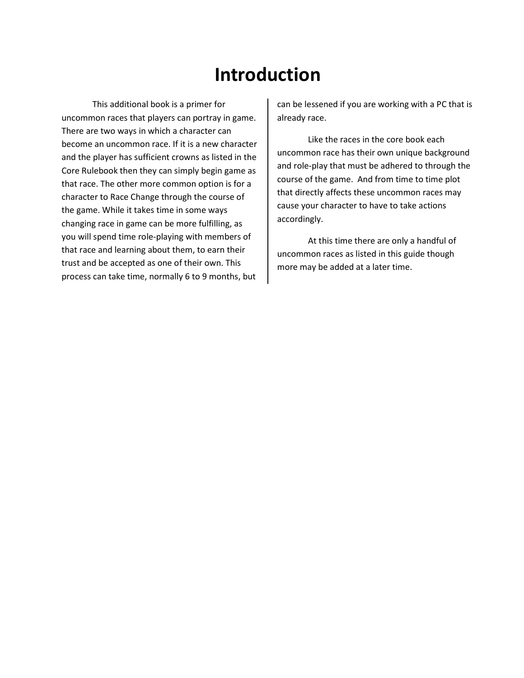# Introduction

 This additional book is a primer for uncommon races that players can portray in game. There are two ways in which a character can become an uncommon race. If it is a new character and the player has sufficient crowns as listed in the Core Rulebook then they can simply begin game as that race. The other more common option is for a character to Race Change through the course of the game. While it takes time in some ways changing race in game can be more fulfilling, as you will spend time role-playing with members of that race and learning about them, to earn their trust and be accepted as one of their own. This process can take time, normally 6 to 9 months, but

can be lessened if you are working with a PC that is already race.

 Like the races in the core book each uncommon race has their own unique background and role-play that must be adhered to through the course of the game. And from time to time plot that directly affects these uncommon races may cause your character to have to take actions accordingly.

 At this time there are only a handful of uncommon races as listed in this guide though more may be added at a later time.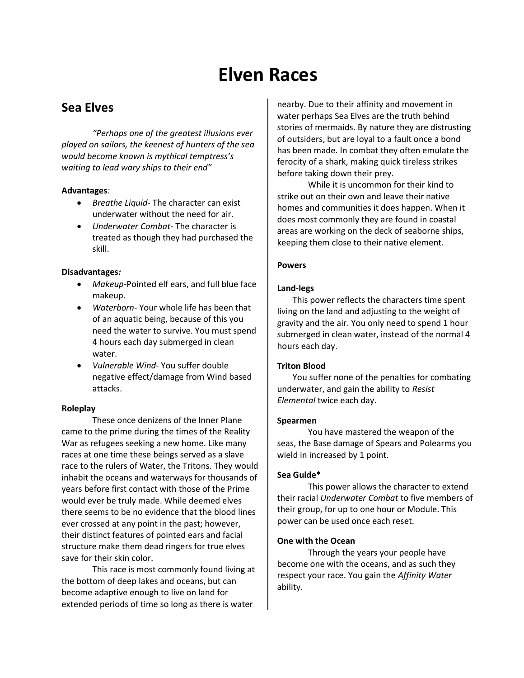# Elven Races

## Sea Elves

"Perhaps one of the greatest illusions ever played on sailors, the keenest of hunters of the sea would become known is mythical temptress's waiting to lead wary ships to their end"

#### Advantages:

- Breathe Liquid- The character can exist underwater without the need for air.
- Underwater Combat-The character is treated as though they had purchased the skill.

#### Disadvantages:

- Makeup-Pointed elf ears, and full blue face makeup.
- Waterborn- Your whole life has been that of an aquatic being, because of this you need the water to survive. You must spend 4 hours each day submerged in clean water.
- Vulnerable Wind-You suffer double negative effect/damage from Wind based attacks.

#### Roleplay

These once denizens of the Inner Plane came to the prime during the times of the Reality War as refugees seeking a new home. Like many races at one time these beings served as a slave race to the rulers of Water, the Tritons. They would inhabit the oceans and waterways for thousands of years before first contact with those of the Prime would ever be truly made. While deemed elves there seems to be no evidence that the blood lines ever crossed at any point in the past; however, their distinct features of pointed ears and facial structure make them dead ringers for true elves save for their skin color.

 This race is most commonly found living at the bottom of deep lakes and oceans, but can become adaptive enough to live on land for extended periods of time so long as there is water

nearby. Due to their affinity and movement in water perhaps Sea Elves are the truth behind stories of mermaids. By nature they are distrusting of outsiders, but are loyal to a fault once a bond has been made. In combat they often emulate the ferocity of a shark, making quick tireless strikes before taking down their prey.

 While it is uncommon for their kind to strike out on their own and leave their native homes and communities it does happen. When it does most commonly they are found in coastal areas are working on the deck of seaborne ships, keeping them close to their native element.

#### **Powers**

#### Land-legs

This power reflects the characters time spent living on the land and adjusting to the weight of gravity and the air. You only need to spend 1 hour submerged in clean water, instead of the normal 4 hours each day.

#### Triton Blood

You suffer none of the penalties for combating underwater, and gain the ability to Resist Elemental twice each day.

#### Spearmen

You have mastered the weapon of the seas, the Base damage of Spears and Polearms you wield in increased by 1 point.

#### Sea Guide\*

 This power allows the character to extend their racial Underwater Combat to five members of their group, for up to one hour or Module. This power can be used once each reset.

#### One with the Ocean

 Through the years your people have become one with the oceans, and as such they respect your race. You gain the Affinity Water ability.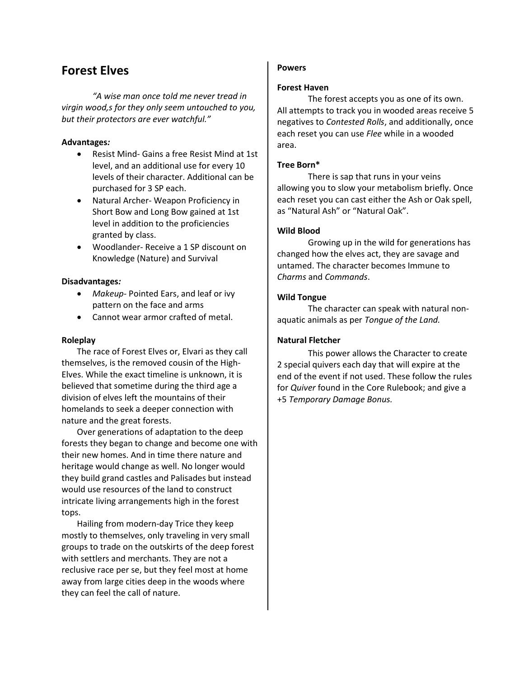## Forest Elves

 "A wise man once told me never tread in virgin wood,s for they only seem untouched to you, but their protectors are ever watchful."

#### Advantages:

- Resist Mind- Gains a free Resist Mind at 1st level, and an additional use for every 10 levels of their character. Additional can be purchased for 3 SP each.
- Natural Archer- Weapon Proficiency in Short Bow and Long Bow gained at 1st level in addition to the proficiencies granted by class.
- Woodlander- Receive a 1 SP discount on Knowledge (Nature) and Survival

#### Disadvantages:

- Makeup- Pointed Ears, and leaf or ivy pattern on the face and arms
- Cannot wear armor crafted of metal.

#### Roleplay

The race of Forest Elves or, Elvari as they call themselves, is the removed cousin of the High-Elves. While the exact timeline is unknown, it is believed that sometime during the third age a division of elves left the mountains of their homelands to seek a deeper connection with nature and the great forests.

Over generations of adaptation to the deep forests they began to change and become one with their new homes. And in time there nature and heritage would change as well. No longer would they build grand castles and Palisades but instead would use resources of the land to construct intricate living arrangements high in the forest tops.

Hailing from modern-day Trice they keep mostly to themselves, only traveling in very small groups to trade on the outskirts of the deep forest with settlers and merchants. They are not a reclusive race per se, but they feel most at home away from large cities deep in the woods where they can feel the call of nature.

#### Powers

#### Forest Haven

The forest accepts you as one of its own. All attempts to track you in wooded areas receive 5 negatives to Contested Rolls, and additionally, once each reset you can use Flee while in a wooded area.

#### Tree Born\*

 There is sap that runs in your veins allowing you to slow your metabolism briefly. Once each reset you can cast either the Ash or Oak spell, as "Natural Ash" or "Natural Oak".

#### Wild Blood

 Growing up in the wild for generations has changed how the elves act, they are savage and untamed. The character becomes Immune to Charms and Commands.

#### Wild Tongue

 The character can speak with natural nonaquatic animals as per Tongue of the Land.

#### Natural Fletcher

 This power allows the Character to create 2 special quivers each day that will expire at the end of the event if not used. These follow the rules for Quiver found in the Core Rulebook; and give a +5 Temporary Damage Bonus.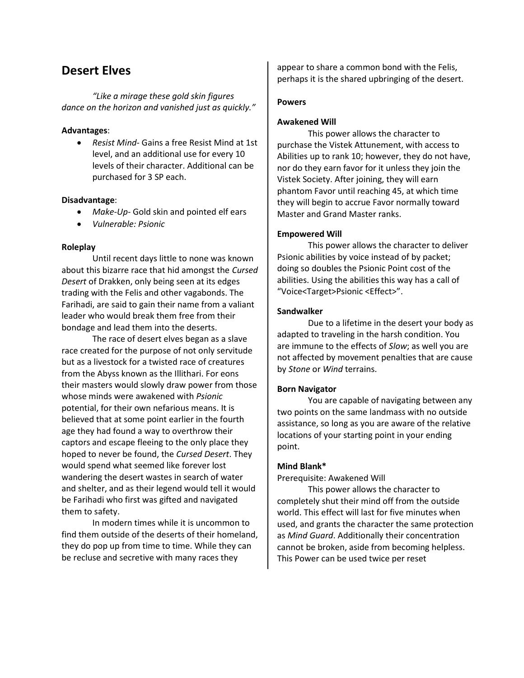## Desert Elves

 "Like a mirage these gold skin figures dance on the horizon and vanished just as quickly."

#### Advantages:

• Resist Mind- Gains a free Resist Mind at 1st level, and an additional use for every 10 levels of their character. Additional can be purchased for 3 SP each.

#### Disadvantage:

- Make-Up- Gold skin and pointed elf ears
- Vulnerable: Psionic

#### Roleplay

Until recent days little to none was known about this bizarre race that hid amongst the Cursed Desert of Drakken, only being seen at its edges trading with the Felis and other vagabonds. The Farihadi, are said to gain their name from a valiant leader who would break them free from their bondage and lead them into the deserts.

The race of desert elves began as a slave race created for the purpose of not only servitude but as a livestock for a twisted race of creatures from the Abyss known as the Illithari. For eons their masters would slowly draw power from those whose minds were awakened with *Psionic* potential, for their own nefarious means. It is believed that at some point earlier in the fourth age they had found a way to overthrow their captors and escape fleeing to the only place they hoped to never be found, the Cursed Desert. They would spend what seemed like forever lost wandering the desert wastes in search of water and shelter, and as their legend would tell it would be Farihadi who first was gifted and navigated them to safety.

In modern times while it is uncommon to find them outside of the deserts of their homeland, they do pop up from time to time. While they can be recluse and secretive with many races they

appear to share a common bond with the Felis, perhaps it is the shared upbringing of the desert.

#### Powers

#### Awakened Will

This power allows the character to purchase the Vistek Attunement, with access to Abilities up to rank 10; however, they do not have, nor do they earn favor for it unless they join the Vistek Society. After joining, they will earn phantom Favor until reaching 45, at which time they will begin to accrue Favor normally toward Master and Grand Master ranks.

#### Empowered Will

 This power allows the character to deliver Psionic abilities by voice instead of by packet; doing so doubles the Psionic Point cost of the abilities. Using the abilities this way has a call of "Voice<Target>Psionic <Effect>".

#### Sandwalker

 Due to a lifetime in the desert your body as adapted to traveling in the harsh condition. You are immune to the effects of Slow; as well you are not affected by movement penalties that are cause by Stone or Wind terrains.

#### Born Navigator

 You are capable of navigating between any two points on the same landmass with no outside assistance, so long as you are aware of the relative locations of your starting point in your ending point.

#### Mind Blank\*

Prerequisite: Awakened Will

 This power allows the character to completely shut their mind off from the outside world. This effect will last for five minutes when used, and grants the character the same protection as Mind Guard. Additionally their concentration cannot be broken, aside from becoming helpless. This Power can be used twice per reset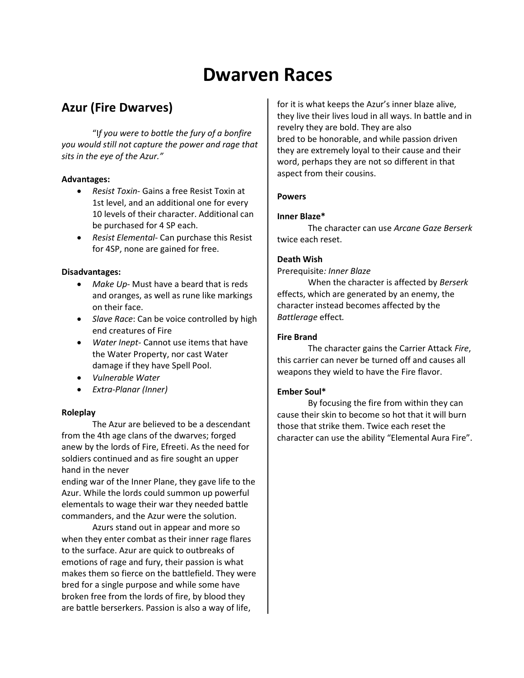# Dwarven Races

## Azur (Fire Dwarves)

 "If you were to bottle the fury of a bonfire you would still not capture the power and rage that sits in the eye of the Azur."

#### Advantages:

- Resist Toxin- Gains a free Resist Toxin at 1st level, and an additional one for every 10 levels of their character. Additional can be purchased for 4 SP each.
- Resist Elemental- Can purchase this Resist for 4SP, none are gained for free.

#### Disadvantages:

- Make Up- Must have a beard that is reds and oranges, as well as rune like markings on their face.
- Slave Race: Can be voice controlled by high end creatures of Fire
- Water Inept- Cannot use items that have the Water Property, nor cast Water damage if they have Spell Pool.
- Vulnerable Water
- Extra-Planar (Inner)

#### Roleplay

 The Azur are believed to be a descendant from the 4th age clans of the dwarves; forged anew by the lords of Fire, Efreeti. As the need for soldiers continued and as fire sought an upper hand in the never

ending war of the Inner Plane, they gave life to the Azur. While the lords could summon up powerful elementals to wage their war they needed battle commanders, and the Azur were the solution.

 Azurs stand out in appear and more so when they enter combat as their inner rage flares to the surface. Azur are quick to outbreaks of emotions of rage and fury, their passion is what makes them so fierce on the battlefield. They were bred for a single purpose and while some have broken free from the lords of fire, by blood they are battle berserkers. Passion is also a way of life,

for it is what keeps the Azur's inner blaze alive, they live their lives loud in all ways. In battle and in revelry they are bold. They are also bred to be honorable, and while passion driven they are extremely loyal to their cause and their word, perhaps they are not so different in that aspect from their cousins.

#### Powers

#### Inner Blaze\*

The character can use Arcane Gaze Berserk twice each reset.

#### Death Wish

Prerequisite: Inner Blaze

 When the character is affected by Berserk effects, which are generated by an enemy, the character instead becomes affected by the Battlerage effect.

#### Fire Brand

 The character gains the Carrier Attack Fire, this carrier can never be turned off and causes all weapons they wield to have the Fire flavor.

#### Ember Soul\*

 By focusing the fire from within they can cause their skin to become so hot that it will burn those that strike them. Twice each reset the character can use the ability "Elemental Aura Fire".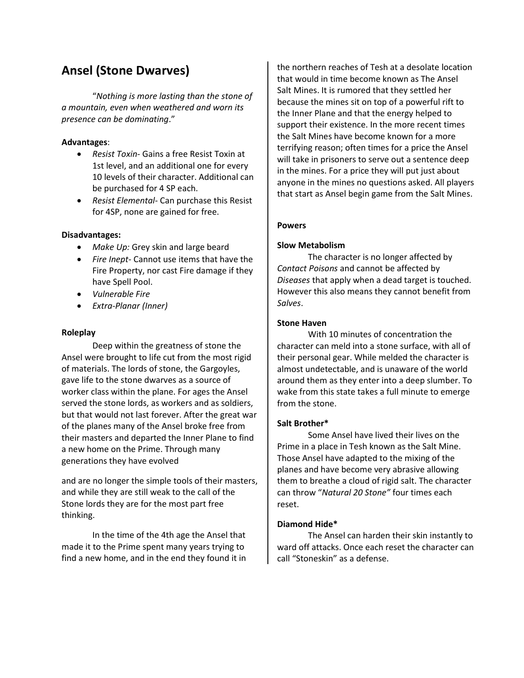## Ansel (Stone Dwarves)

 "Nothing is more lasting than the stone of a mountain, even when weathered and worn its presence can be dominating."

#### Advantages:

- Resist Toxin- Gains a free Resist Toxin at 1st level, and an additional one for every 10 levels of their character. Additional can be purchased for 4 SP each.
- Resist Elemental- Can purchase this Resist for 4SP, none are gained for free.

#### Disadvantages:

- Make Up: Grey skin and large beard
- Fire Inept- Cannot use items that have the Fire Property, nor cast Fire damage if they have Spell Pool.
- Vulnerable Fire
- Extra-Planar (Inner)

#### Roleplay

 Deep within the greatness of stone the Ansel were brought to life cut from the most rigid of materials. The lords of stone, the Gargoyles, gave life to the stone dwarves as a source of worker class within the plane. For ages the Ansel served the stone lords, as workers and as soldiers, but that would not last forever. After the great war of the planes many of the Ansel broke free from their masters and departed the Inner Plane to find a new home on the Prime. Through many generations they have evolved

and are no longer the simple tools of their masters, and while they are still weak to the call of the Stone lords they are for the most part free thinking.

 In the time of the 4th age the Ansel that made it to the Prime spent many years trying to find a new home, and in the end they found it in the northern reaches of Tesh at a desolate location that would in time become known as The Ansel Salt Mines. It is rumored that they settled her because the mines sit on top of a powerful rift to the Inner Plane and that the energy helped to support their existence. In the more recent times the Salt Mines have become known for a more terrifying reason; often times for a price the Ansel will take in prisoners to serve out a sentence deep in the mines. For a price they will put just about anyone in the mines no questions asked. All players that start as Ansel begin game from the Salt Mines.

#### Powers

#### Slow Metabolism

 The character is no longer affected by Contact Poisons and cannot be affected by Diseases that apply when a dead target is touched. However this also means they cannot benefit from Salves.

#### Stone Haven

With 10 minutes of concentration the character can meld into a stone surface, with all of their personal gear. While melded the character is almost undetectable, and is unaware of the world around them as they enter into a deep slumber. To wake from this state takes a full minute to emerge from the stone.

#### Salt Brother\*

Some Ansel have lived their lives on the Prime in a place in Tesh known as the Salt Mine. Those Ansel have adapted to the mixing of the planes and have become very abrasive allowing them to breathe a cloud of rigid salt. The character can throw "Natural 20 Stone" four times each reset.

#### Diamond Hide\*

 The Ansel can harden their skin instantly to ward off attacks. Once each reset the character can call "Stoneskin" as a defense.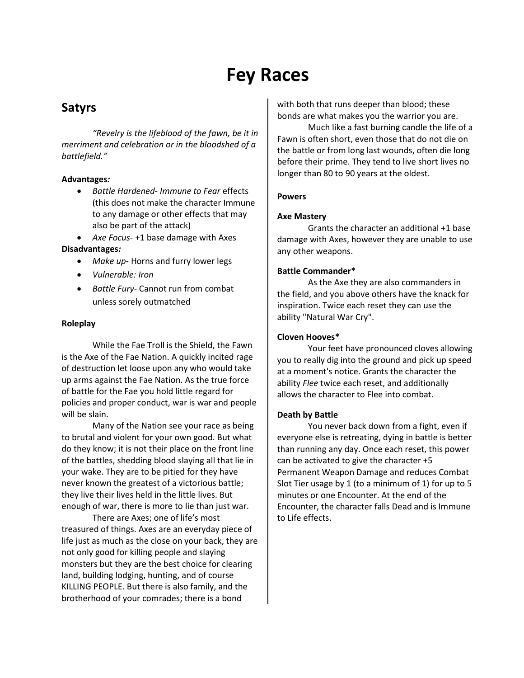# Fey Races

## Satyrs

"Revelry is the lifeblood of the fawn, be it in merriment and celebration or in the bloodshed of a battlefield."

#### Advantages:

• Battle Hardened- Immune to Fear effects (this does not make the character Immune to any damage or other effects that may also be part of the attack)

• Axe Focus- +1 base damage with Axes Disadvantages:

- Make up- Horns and furry lower legs
- Vulnerable: Iron
- Battle Fury- Cannot run from combat unless sorely outmatched

#### Roleplay

While the Fae Troll is the Shield, the Fawn is the Axe of the Fae Nation. A quickly incited rage of destruction let loose upon any who would take up arms against the Fae Nation. As the true force of battle for the Fae you hold little regard for policies and proper conduct, war is war and people will be slain.

 Many of the Nation see your race as being to brutal and violent for your own good. But what do they know; it is not their place on the front line of the battles, shedding blood slaying all that lie in your wake. They are to be pitied for they have never known the greatest of a victorious battle; they live their lives held in the little lives. But enough of war, there is more to lie than just war.

 There are Axes; one of life's most treasured of things. Axes are an everyday piece of life just as much as the close on your back, they are not only good for killing people and slaying monsters but they are the best choice for clearing land, building lodging, hunting, and of course KILLING PEOPLE. But there is also family, and the brotherhood of your comrades; there is a bond

with both that runs deeper than blood; these bonds are what makes you the warrior you are.

 Much like a fast burning candle the life of a Fawn is often short, even those that do not die on the battle or from long last wounds, often die long before their prime. They tend to live short lives no longer than 80 to 90 years at the oldest.

#### Powers

#### Axe Mastery

Grants the character an additional +1 base damage with Axes, however they are unable to use any other weapons.

#### Battle Commander\*

As the Axe they are also commanders in the field, and you above others have the knack for inspiration. Twice each reset they can use the ability "Natural War Cry".

#### Cloven Hooves\*

Your feet have pronounced cloves allowing you to really dig into the ground and pick up speed at a moment's notice. Grants the character the ability Flee twice each reset, and additionally allows the character to Flee into combat.

#### Death by Battle

You never back down from a fight, even if everyone else is retreating, dying in battle is better than running any day. Once each reset, this power can be activated to give the character +5 Permanent Weapon Damage and reduces Combat Slot Tier usage by 1 (to a minimum of 1) for up to 5 minutes or one Encounter. At the end of the Encounter, the character falls Dead and is Immune to Life effects.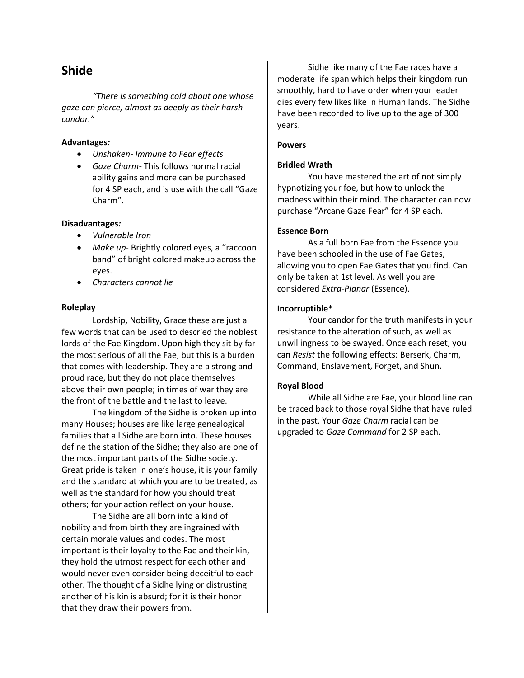### Shide

 "There is something cold about one whose gaze can pierce, almost as deeply as their harsh candor."

#### Advantages:

- Unshaken- Immune to Fear effects
- Gaze Charm- This follows normal racial ability gains and more can be purchased for 4 SP each, and is use with the call "Gaze Charm".

#### Disadvantages:

- Vulnerable Iron
- Make up- Brightly colored eyes, a "raccoon band" of bright colored makeup across the eyes.
- Characters cannot lie

#### Roleplay

Lordship, Nobility, Grace these are just a few words that can be used to descried the noblest lords of the Fae Kingdom. Upon high they sit by far the most serious of all the Fae, but this is a burden that comes with leadership. They are a strong and proud race, but they do not place themselves above their own people; in times of war they are the front of the battle and the last to leave.

 The kingdom of the Sidhe is broken up into many Houses; houses are like large genealogical families that all Sidhe are born into. These houses define the station of the Sidhe; they also are one of the most important parts of the Sidhe society. Great pride is taken in one's house, it is your family and the standard at which you are to be treated, as well as the standard for how you should treat others; for your action reflect on your house.

 The Sidhe are all born into a kind of nobility and from birth they are ingrained with certain morale values and codes. The most important is their loyalty to the Fae and their kin, they hold the utmost respect for each other and would never even consider being deceitful to each other. The thought of a Sidhe lying or distrusting another of his kin is absurd; for it is their honor that they draw their powers from.

 Sidhe like many of the Fae races have a moderate life span which helps their kingdom run smoothly, hard to have order when your leader dies every few likes like in Human lands. The Sidhe have been recorded to live up to the age of 300 years.

#### Powers

#### Bridled Wrath

You have mastered the art of not simply hypnotizing your foe, but how to unlock the madness within their mind. The character can now purchase "Arcane Gaze Fear" for 4 SP each.

#### Essence Born

As a full born Fae from the Essence you have been schooled in the use of Fae Gates, allowing you to open Fae Gates that you find. Can only be taken at 1st level. As well you are considered Extra-Planar (Essence).

#### Incorruptible\*

 Your candor for the truth manifests in your resistance to the alteration of such, as well as unwillingness to be swayed. Once each reset, you can Resist the following effects: Berserk, Charm, Command, Enslavement, Forget, and Shun.

#### Royal Blood

While all Sidhe are Fae, your blood line can be traced back to those royal Sidhe that have ruled in the past. Your Gaze Charm racial can be upgraded to Gaze Command for 2 SP each.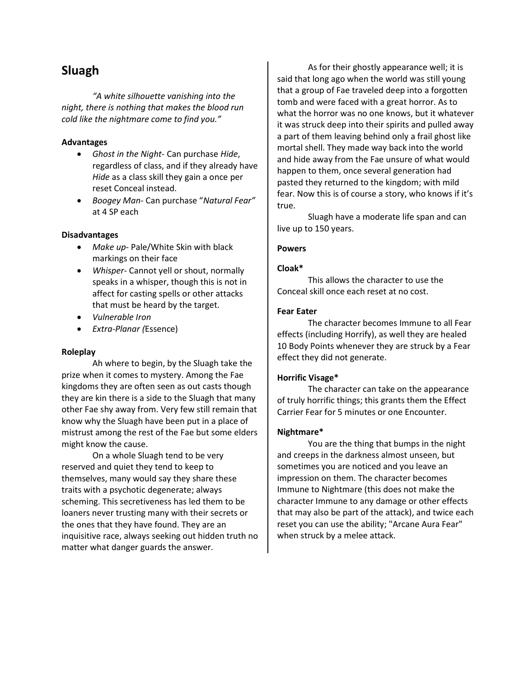## Sluagh

 "A white silhouette vanishing into the night, there is nothing that makes the blood run cold like the nightmare come to find you."

#### Advantages

- Ghost in the Night- Can purchase Hide, regardless of class, and if they already have Hide as a class skill they gain a once per reset Conceal instead.
- Boogey Man- Can purchase "Natural Fear" at 4 SP each

#### Disadvantages

- Make up- Pale/White Skin with black markings on their face
- Whisper- Cannot yell or shout, normally speaks in a whisper, though this is not in affect for casting spells or other attacks that must be heard by the target.
- Vulnerable Iron
- Extra-Planar (Essence)

#### Roleplay

Ah where to begin, by the Sluagh take the prize when it comes to mystery. Among the Fae kingdoms they are often seen as out casts though they are kin there is a side to the Sluagh that many other Fae shy away from. Very few still remain that know why the Sluagh have been put in a place of mistrust among the rest of the Fae but some elders might know the cause.

 On a whole Sluagh tend to be very reserved and quiet they tend to keep to themselves, many would say they share these traits with a psychotic degenerate; always scheming. This secretiveness has led them to be loaners never trusting many with their secrets or the ones that they have found. They are an inquisitive race, always seeking out hidden truth no matter what danger guards the answer.

 As for their ghostly appearance well; it is said that long ago when the world was still young that a group of Fae traveled deep into a forgotten tomb and were faced with a great horror. As to what the horror was no one knows, but it whatever it was struck deep into their spirits and pulled away a part of them leaving behind only a frail ghost like mortal shell. They made way back into the world and hide away from the Fae unsure of what would happen to them, once several generation had pasted they returned to the kingdom; with mild fear. Now this is of course a story, who knows if it's true.

 Sluagh have a moderate life span and can live up to 150 years.

#### Powers

#### Cloak\*

This allows the character to use the Conceal skill once each reset at no cost.

#### Fear Eater

The character becomes Immune to all Fear effects (including Horrify), as well they are healed 10 Body Points whenever they are struck by a Fear effect they did not generate.

#### Horrific Visage\*

The character can take on the appearance of truly horrific things; this grants them the Effect Carrier Fear for 5 minutes or one Encounter.

#### Nightmare\*

You are the thing that bumps in the night and creeps in the darkness almost unseen, but sometimes you are noticed and you leave an impression on them. The character becomes Immune to Nightmare (this does not make the character Immune to any damage or other effects that may also be part of the attack), and twice each reset you can use the ability; "Arcane Aura Fear" when struck by a melee attack.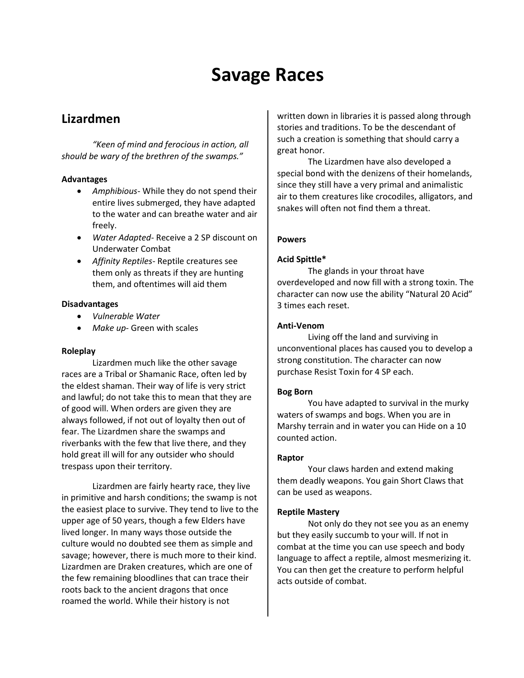# Savage Races

## Lizardmen

 "Keen of mind and ferocious in action, all should be wary of the brethren of the swamps."

#### Advantages

- Amphibious- While they do not spend their entire lives submerged, they have adapted to the water and can breathe water and air freely.
- Water Adapted-Receive a 2 SP discount on Underwater Combat
- **•** Affinity Reptiles-Reptile creatures see them only as threats if they are hunting them, and oftentimes will aid them

#### Disadvantages

- Vulnerable Water
- Make up- Green with scales

#### Roleplay

 Lizardmen much like the other savage races are a Tribal or Shamanic Race, often led by the eldest shaman. Their way of life is very strict and lawful; do not take this to mean that they are of good will. When orders are given they are always followed, if not out of loyalty then out of fear. The Lizardmen share the swamps and riverbanks with the few that live there, and they hold great ill will for any outsider who should trespass upon their territory.

 Lizardmen are fairly hearty race, they live in primitive and harsh conditions; the swamp is not the easiest place to survive. They tend to live to the upper age of 50 years, though a few Elders have lived longer. In many ways those outside the culture would no doubted see them as simple and savage; however, there is much more to their kind. Lizardmen are Draken creatures, which are one of the few remaining bloodlines that can trace their roots back to the ancient dragons that once roamed the world. While their history is not

written down in libraries it is passed along through stories and traditions. To be the descendant of such a creation is something that should carry a great honor.

 The Lizardmen have also developed a special bond with the denizens of their homelands, since they still have a very primal and animalistic air to them creatures like crocodiles, alligators, and snakes will often not find them a threat.

#### Powers

#### Acid Spittle\*

The glands in your throat have overdeveloped and now fill with a strong toxin. The character can now use the ability "Natural 20 Acid" 3 times each reset.

#### Anti-Venom

Living off the land and surviving in unconventional places has caused you to develop a strong constitution. The character can now purchase Resist Toxin for 4 SP each.

#### Bog Born

You have adapted to survival in the murky waters of swamps and bogs. When you are in Marshy terrain and in water you can Hide on a 10 counted action.

#### Raptor

 Your claws harden and extend making them deadly weapons. You gain Short Claws that can be used as weapons.

#### Reptile Mastery

Not only do they not see you as an enemy but they easily succumb to your will. If not in combat at the time you can use speech and body language to affect a reptile, almost mesmerizing it. You can then get the creature to perform helpful acts outside of combat.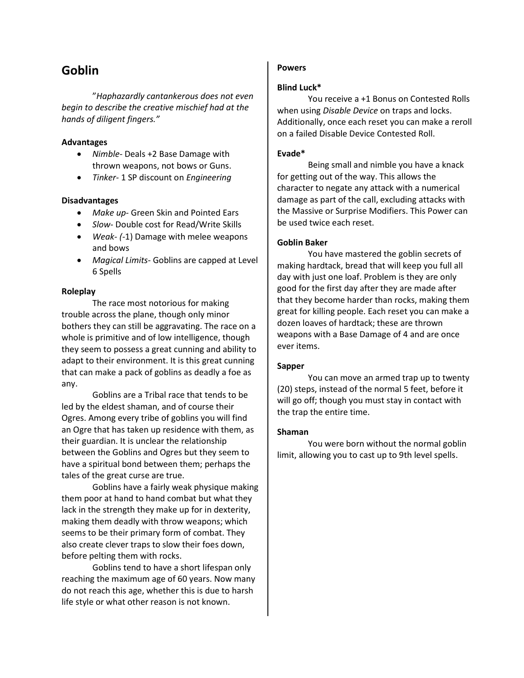## Goblin

"Haphazardly cantankerous does not even begin to describe the creative mischief had at the hands of diligent fingers."

#### Advantages

- Nimble- Deals +2 Base Damage with thrown weapons, not bows or Guns.
- Tinker- 1 SP discount on Engineering

#### Disadvantages

- Make up- Green Skin and Pointed Ears
- Slow- Double cost for Read/Write Skills
- Weak- (-1) Damage with melee weapons and bows
- Magical Limits- Goblins are capped at Level 6 Spells

#### Roleplay

The race most notorious for making trouble across the plane, though only minor bothers they can still be aggravating. The race on a whole is primitive and of low intelligence, though they seem to possess a great cunning and ability to adapt to their environment. It is this great cunning that can make a pack of goblins as deadly a foe as any.

 Goblins are a Tribal race that tends to be led by the eldest shaman, and of course their Ogres. Among every tribe of goblins you will find an Ogre that has taken up residence with them, as their guardian. It is unclear the relationship between the Goblins and Ogres but they seem to have a spiritual bond between them; perhaps the tales of the great curse are true.

 Goblins have a fairly weak physique making them poor at hand to hand combat but what they lack in the strength they make up for in dexterity, making them deadly with throw weapons; which seems to be their primary form of combat. They also create clever traps to slow their foes down, before pelting them with rocks.

 Goblins tend to have a short lifespan only reaching the maximum age of 60 years. Now many do not reach this age, whether this is due to harsh life style or what other reason is not known.

#### Powers

#### Blind Luck\*

You receive a +1 Bonus on Contested Rolls when using *Disable Device* on traps and locks. Additionally, once each reset you can make a reroll on a failed Disable Device Contested Roll.

#### Evade\*

Being small and nimble you have a knack for getting out of the way. This allows the character to negate any attack with a numerical damage as part of the call, excluding attacks with the Massive or Surprise Modifiers. This Power can be used twice each reset.

#### Goblin Baker

You have mastered the goblin secrets of making hardtack, bread that will keep you full all day with just one loaf. Problem is they are only good for the first day after they are made after that they become harder than rocks, making them great for killing people. Each reset you can make a dozen loaves of hardtack; these are thrown weapons with a Base Damage of 4 and are once ever items.

#### Sapper

 You can move an armed trap up to twenty (20) steps, instead of the normal 5 feet, before it will go off; though you must stay in contact with the trap the entire time.

#### Shaman

You were born without the normal goblin limit, allowing you to cast up to 9th level spells.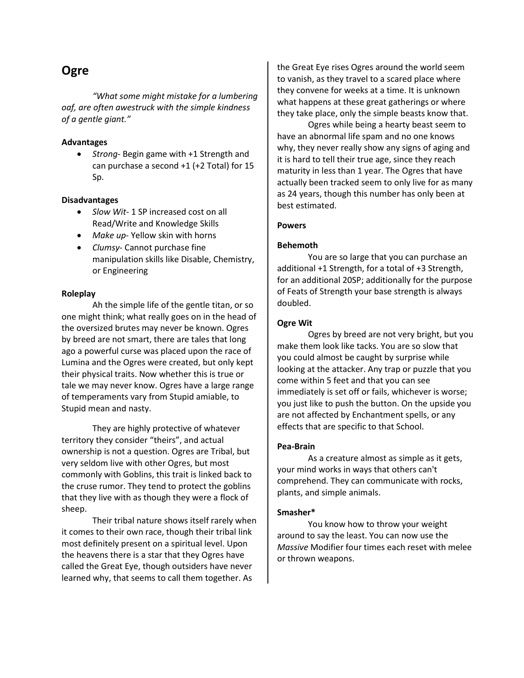## **Ogre**

 "What some might mistake for a lumbering oaf, are often awestruck with the simple kindness of a gentle giant."

#### Advantages

• Strong- Begin game with +1 Strength and can purchase a second +1 (+2 Total) for 15 Sp.

#### Disadvantages

- Slow Wit- 1 SP increased cost on all Read/Write and Knowledge Skills
- Make up- Yellow skin with horns
- Clumsy- Cannot purchase fine manipulation skills like Disable, Chemistry, or Engineering

#### Roleplay

Ah the simple life of the gentle titan, or so one might think; what really goes on in the head of the oversized brutes may never be known. Ogres by breed are not smart, there are tales that long ago a powerful curse was placed upon the race of Lumina and the Ogres were created, but only kept their physical traits. Now whether this is true or tale we may never know. Ogres have a large range of temperaments vary from Stupid amiable, to Stupid mean and nasty.

 They are highly protective of whatever territory they consider "theirs", and actual ownership is not a question. Ogres are Tribal, but very seldom live with other Ogres, but most commonly with Goblins, this trait is linked back to the cruse rumor. They tend to protect the goblins that they live with as though they were a flock of sheep.

 Their tribal nature shows itself rarely when it comes to their own race, though their tribal link most definitely present on a spiritual level. Upon the heavens there is a star that they Ogres have called the Great Eye, though outsiders have never learned why, that seems to call them together. As

the Great Eye rises Ogres around the world seem to vanish, as they travel to a scared place where they convene for weeks at a time. It is unknown what happens at these great gatherings or where they take place, only the simple beasts know that.

 Ogres while being a hearty beast seem to have an abnormal life spam and no one knows why, they never really show any signs of aging and it is hard to tell their true age, since they reach maturity in less than 1 year. The Ogres that have actually been tracked seem to only live for as many as 24 years, though this number has only been at best estimated.

#### Powers

#### Behemoth

You are so large that you can purchase an additional +1 Strength, for a total of +3 Strength, for an additional 20SP; additionally for the purpose of Feats of Strength your base strength is always doubled.

#### Ogre Wit

Ogres by breed are not very bright, but you make them look like tacks. You are so slow that you could almost be caught by surprise while looking at the attacker. Any trap or puzzle that you come within 5 feet and that you can see immediately is set off or fails, whichever is worse; you just like to push the button. On the upside you are not affected by Enchantment spells, or any effects that are specific to that School.

#### Pea-Brain

As a creature almost as simple as it gets, your mind works in ways that others can't comprehend. They can communicate with rocks, plants, and simple animals.

#### Smasher\*

You know how to throw your weight around to say the least. You can now use the Massive Modifier four times each reset with melee or thrown weapons.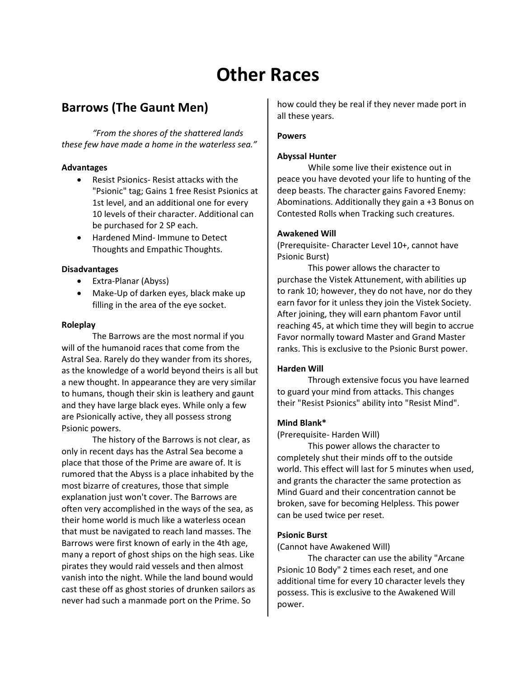# Other Races

## Barrows (The Gaunt Men)

 "From the shores of the shattered lands these few have made a home in the waterless sea."

#### Advantages

- Resist Psionics- Resist attacks with the "Psionic" tag; Gains 1 free Resist Psionics at 1st level, and an additional one for every 10 levels of their character. Additional can be purchased for 2 SP each.
- Hardened Mind- Immune to Detect Thoughts and Empathic Thoughts.

#### Disadvantages

- Extra-Planar (Abyss)
- Make-Up of darken eyes, black make up filling in the area of the eye socket.

#### Roleplay

 The Barrows are the most normal if you will of the humanoid races that come from the Astral Sea. Rarely do they wander from its shores, as the knowledge of a world beyond theirs is all but a new thought. In appearance they are very similar to humans, though their skin is leathery and gaunt and they have large black eyes. While only a few are Psionically active, they all possess strong Psionic powers.

 The history of the Barrows is not clear, as only in recent days has the Astral Sea become a place that those of the Prime are aware of. It is rumored that the Abyss is a place inhabited by the most bizarre of creatures, those that simple explanation just won't cover. The Barrows are often very accomplished in the ways of the sea, as their home world is much like a waterless ocean that must be navigated to reach land masses. The Barrows were first known of early in the 4th age, many a report of ghost ships on the high seas. Like pirates they would raid vessels and then almost vanish into the night. While the land bound would cast these off as ghost stories of drunken sailors as never had such a manmade port on the Prime. So

how could they be real if they never made port in all these years.

#### Powers

#### Abyssal Hunter

While some live their existence out in peace you have devoted your life to hunting of the deep beasts. The character gains Favored Enemy: Abominations. Additionally they gain a +3 Bonus on Contested Rolls when Tracking such creatures.

#### Awakened Will

(Prerequisite- Character Level 10+, cannot have Psionic Burst)

 This power allows the character to purchase the Vistek Attunement, with abilities up to rank 10; however, they do not have, nor do they earn favor for it unless they join the Vistek Society. After joining, they will earn phantom Favor until reaching 45, at which time they will begin to accrue Favor normally toward Master and Grand Master ranks. This is exclusive to the Psionic Burst power.

#### Harden Will

Through extensive focus you have learned to guard your mind from attacks. This changes their "Resist Psionics" ability into "Resist Mind".

#### Mind Blank\*

(Prerequisite- Harden Will)

 This power allows the character to completely shut their minds off to the outside world. This effect will last for 5 minutes when used, and grants the character the same protection as Mind Guard and their concentration cannot be broken, save for becoming Helpless. This power can be used twice per reset.

#### Psionic Burst

(Cannot have Awakened Will)

 The character can use the ability "Arcane Psionic 10 Body" 2 times each reset, and one additional time for every 10 character levels they possess. This is exclusive to the Awakened Will power.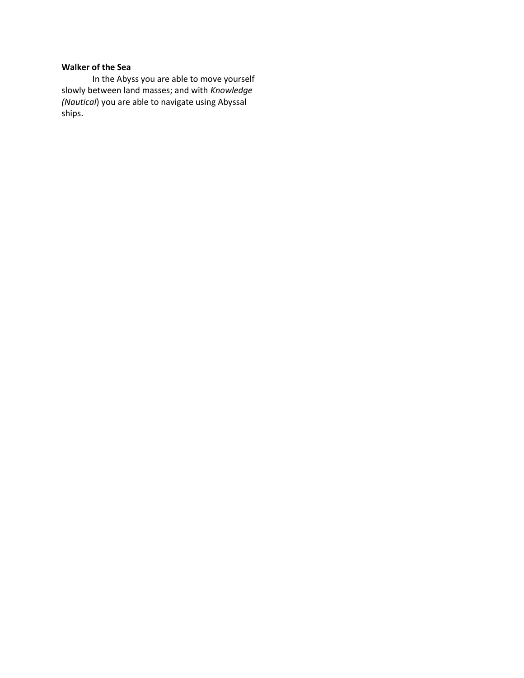#### Walker of the Sea

In the Abyss you are able to move yourself slowly between land masses; and with Knowledge (Nautical) you are able to navigate using Abyssal ships.